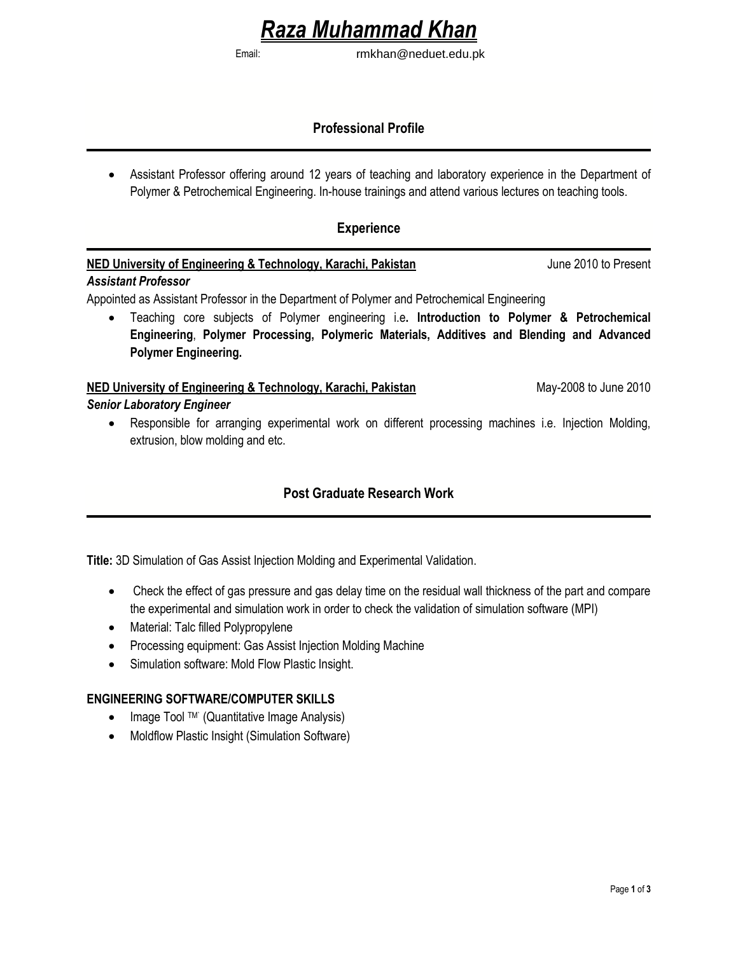# *Raza Muhammad Khan*

Email: rmkhan@neduet.edu.pk

# **Professional Profile**

 Assistant Professor offering around 12 years of teaching and laboratory experience in the Department of Polymer & Petrochemical Engineering. In-house trainings and attend various lectures on teaching tools.

# **Experience**

# **NED University of Engineering & Technology, Karachi, Pakistan** June 2010 to Present

#### *Assistant Professor*

Appointed as Assistant Professor in the Department of Polymer and Petrochemical Engineering

 Teaching core subjects of Polymer engineering i.e**. Introduction to Polymer & Petrochemical Engineering**, **Polymer Processing, Polymeric Materials, Additives and Blending and Advanced Polymer Engineering.**

#### **NED University of Engineering & Technology, Karachi, Pakistan** May-2008 to June 2010 *Senior Laboratory Engineer*

- - Responsible for arranging experimental work on different processing machines i.e. Injection Molding, extrusion, blow molding and etc.

# **Post Graduate Research Work**

**Title:** 3D Simulation of Gas Assist Injection Molding and Experimental Validation.

- Check the effect of gas pressure and gas delay time on the residual wall thickness of the part and compare the experimental and simulation work in order to check the validation of simulation software (MPI)
- Material: Talc filled Polypropylene
- Processing equipment: Gas Assist Injection Molding Machine
- Simulation software: Mold Flow Plastic Insight.

#### **ENGINEERING SOFTWARE/COMPUTER SKILLS**

- Image Tool TM` (Quantitative Image Analysis)
- Moldflow Plastic Insight (Simulation Software)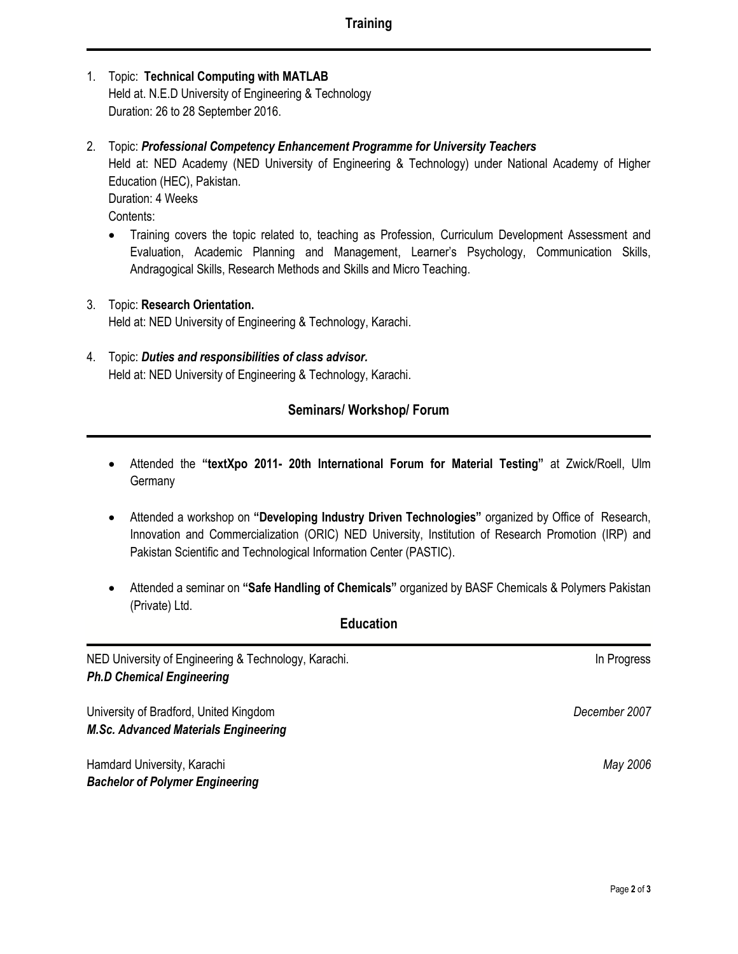- 1. Topic: **Technical Computing with MATLAB** Held at. N.E.D University of Engineering & Technology Duration: 26 to 28 September 2016.
- 2. Topic: *Professional Competency Enhancement Programme for University Teachers*  Held at: NED Academy (NED University of Engineering & Technology) under National Academy of Higher Education (HEC), Pakistan. Duration: 4 Weeks Contents:
	- Training covers the topic related to, teaching as Profession, Curriculum Development Assessment and Evaluation, Academic Planning and Management, Learner's Psychology, Communication Skills, Andragogical Skills, Research Methods and Skills and Micro Teaching.
- 3. Topic: **Research Orientation.** Held at: NED University of Engineering & Technology, Karachi.
- 4. Topic: *Duties and responsibilities of class advisor.* Held at: NED University of Engineering & Technology, Karachi.

# **Seminars/ Workshop/ Forum**

- Attended the **"textXpo 2011- 20th International Forum for Material Testing"** at Zwick/Roell, Ulm **Germany**
- Attended a workshop on **"Developing Industry Driven Technologies"** organized by Office of Research, Innovation and Commercialization (ORIC) NED University, Institution of Research Promotion (IRP) and Pakistan Scientific and Technological Information Center (PASTIC).
- Attended a seminar on **"Safe Handling of Chemicals"** organized by BASF Chemicals & Polymers Pakistan (Private) Ltd.

#### **Education**

NED University of Engineering & Technology, Karachi. In Processes and the University of Engineering & Technology, Karachi. *Ph.D Chemical Engineering* 

University of Bradford, United Kingdom *December 2007 M.Sc. Advanced Materials Engineering*

Hamdard University, Karachi *May 2006 Bachelor of Polymer Engineering*